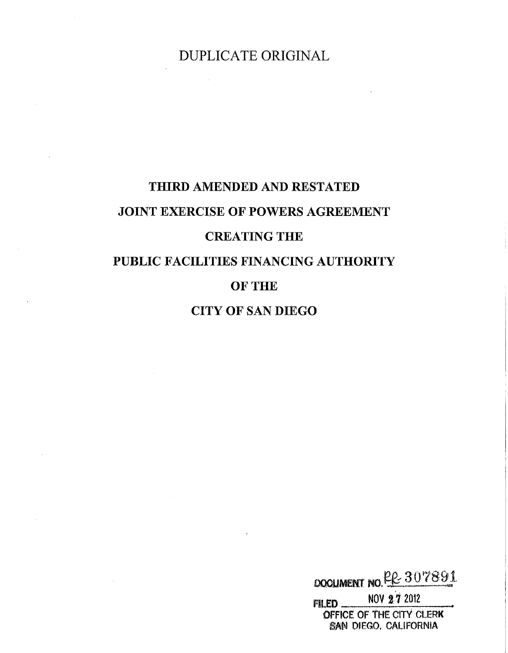DUPLICATE ORIGINAL

# THIRD AMENDED AND RESTATED JOINT EXERCISE OF POWERS AGREEMENT CREATING THE

# PUBLIC FACILITIES FINANCING AUTHORITY

# OF THE

# CITY OF SAN DIEGO

DOCUMENT NO RR 307891 NOV 27 2012 FILED\_ OFFICE OF THE CITY CLERK SAN DIEGO, CALIFORNIA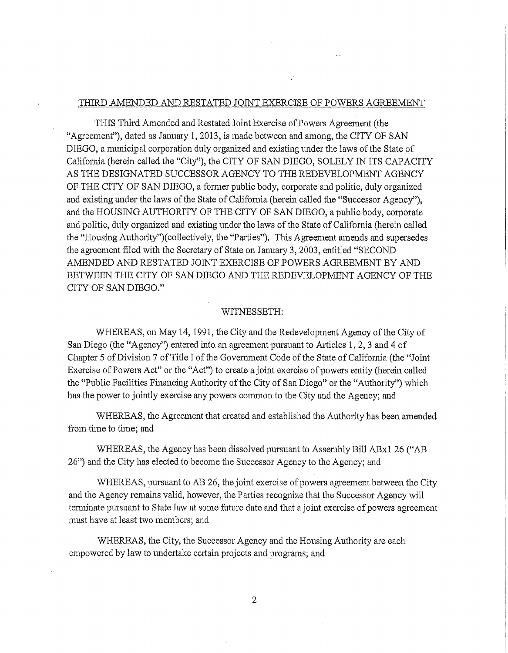#### THIRD AMENDED AND RESTATED JOINT EXERCISE OF POWERS AGREEMENT

THIS Third Amended and Restated Joint Exercise of Powers Agreement (the "Agreement"), dated as January 1, 2013, is made between and among, the CITY OF SAN DIEGO, a municipal corporation duly organized and existing under the laws of the State of California (herein called the "City"), the CITY OF SAN DIEGO, SOLELY IN ITS CAPACITY AS THE DESIGNATED SUCCESSOR AGENCY TO THE REDEVELOPMENT AGENCY OF THE CITY OF SAN DIEGO, a fonner public body, corporate and politic, duly organized and existing under the laws of the State of California (herein called the "Successor Agency"), and the HOUSING AUTHORITY OF THE CITY OF SAN DIEGO, a public body, corporate and politic, duly organized and existing under the laws of the State of California (herein called the "Housing Authority")(collectively, the "Parties"). This Agreement amends and supersedes the agreement filed with the Secretary of State on January 3, 2003, entitled "SECOND AMENDED AND RESTATED JOINT EXERCISE OF POWERS AGREEMENT BY AND BETWEEN THE CITY OF SAN DIEGO AND THE REDEVELOPMENT AGENCY OF THE CITY OF SAN DIEGO."

#### WITNESSETH:

WHEREAS, on May 14, 1991, the City and the Redevelopment Agency of the City of San Diego (the "Agency") entered into an agreement pursuant to Articles 1, 2, 3 and 4 of Chapter 5 of Division 7 of Title I of the Government Code of the State of California (the "Joint Exercise of Powers Act" or the "Act") to create a joint exercise of powers entity (herein called the "Public Facilities Financing Authority of the City of San Diego" or the "Authority") which has the power to jointly exercise any powers common to the City and the Agency; and

WHEREAS, the Agreement that created and established the Authority has been amended from time to time; and

WHEREAS, the Agency has been dissolved pursuant to Assembly Bill ABxl 26 ("AB 26") and the City has elected to become the Successor Agency to the Agency; and

WHEREAS, pursuant to AB 26, the joint exercise of powers agreement between the City and the Agency remains valid, however, the Parties recognize that the Successor Agency will tenninate pursuant to State law at some future date and that a joint exercise of powers agreement must have at least two members; and

WHEREAS, the City, the Successor Agency and the Housing Authority are each empowered by law to undertake certain projects and programs; and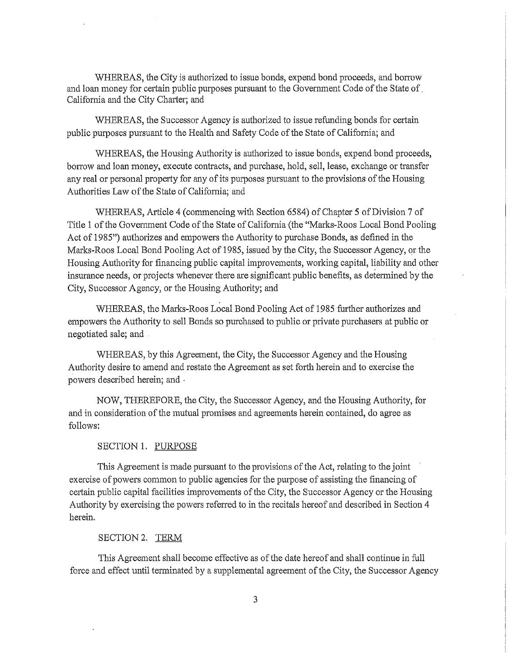WHEREAS, the City is authorized to issue bonds, expend bond proceeds, and borrow and loan money for certain public purposes pursuant to the Government Code of the State of. California and the City Charter; and

WHEREAS, the Successor Agency is authorized to issue refunding bonds for certain public purposes pursuant to the Health and Safety Code of the State of California; and

WHEREAS, the Housing Authority is authorized to issue bonds, expend bond proceeds, borrow and loan money, execute contracts, and purchase, hold, sell, lease, exchange or transfer any real or personal property for any of its purposes pursuant to the provisions of the Housing Authorities Law of the State of California; and

WHEREAS, Article 4 (commencing with Section 6584) of Chapter 5 of Division 7 of Title 1 of the Government Code of the State of California {the "Marks~ Roos Local Bond Pooling Act of 1985") authorizes and empowers the Authority to purchase Bonds, as defined in the Marks~Roos Local Bond Pooling Act of 1985, issued by the City, the Successor Agency, or the Housing Authority for financing public capital improvements, working capital, liability and other insurance needs, or projects whenever there are significant public benefits, as detennined by the City, Successor Agency, or the Housing Authority; and

WHEREAS, the Marks~Roos Local Bond Pooling Act of 1985 further authorizes and empowers the Authority to sell Bonds so purchased to public or private purchasers at public or negotiated sale; and

WHEREAS, by this Agreement, the City, the Successor Agency and the Housing Authority desire to amend and restate the Agreement as set forth herein and to exercise the powers described herein; and ·

NOW, THEREFORE, the City, the Successor Agency, and the Housing Authority, for and in consideration of the mutual promises and agreements herein contained, do agree as follows:

#### SECTION 1. PURPOSE

This Agreement is made pursuant to the provisions of the Act, relating to the joint exercise of powers common to public agencies for the purpose of assisting the financing of certain public capital facilities improvements of the City, the Successor Agency or the Housing Authority by exercising the powers referred to in the recitals hereof and described in Section 4 herein.

#### SECTION 2. TERM

This Agreement shall become effective as of the date hereof and shall continue in full force and effect until terminated by a supplemental agreement of the City, the Successor Agency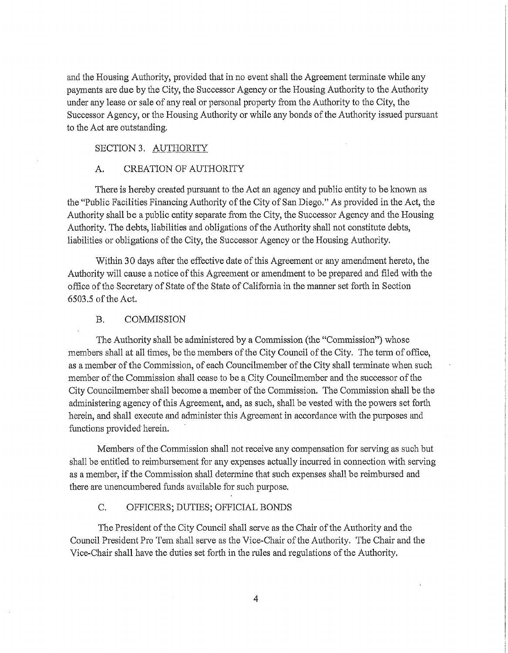and the Housing Authority, provided that in no event shall the Agreement terminate while any payments are due by the City, the Successor Agency or the Housing Authority to the Authority under any lease or sale of any real or personal property from the Authority to the City, the Successor Agency, or the Housing Authority or while any bonds of the Authority issued pursuant to the Act are outstanding.

# SECTION 3. AUTHORITY

#### A. CREATION OF AUTHORITY

There is hereby created pursuant to the Act an agency and public entity to be known as the "Public Facilities Financing Authority of the City of San Diego." As provided in the Act, the Authority shall be a public entity separate from the City, the Successor Agency and the Housing Authority. The debts, liabilities and obligations of the Authority shall not constitute debts, liabilities or obligations of the City, the Successor Agency or the Housing Authority.

Within 30 days after the effective date of this Agreement or any amendment hereto, the Authority will cause a notice of this Agreement or amendment to be prepared and filed with the office of the Secretary of State of the State of California in the manner set forth in Section 6503.5 of the Act.

#### B. COMMISSION

The Authority shall be administered by a Commission (the "Commission'') whose members shall at all times, be the members of the City Council of the City. The term of office, as a member of the Commission, of each Councilmember of the City shall terminate when such member of the Commission shall cease to be a City Councilmember and the successor of the City Councilmember shall become a member of the Commission. The Commission shall be the administering agency of this Agreement, and, as such, shall be vested with the powers set forth herein, and shall execute and administer this Agreement in accordance with the purposes and functions provided herein.

Members of the Conunission shall not receive any compensation for serving as such but shall be entitled to reimbursement for any expenses actually incurred in connection with serving as a member, if the Commission shall determine that such expenses shall be reimbursed and there are unencumbered funds available for such purpose.

## C. OFFICERS; DUTIES; OFFICIAL BONDS

The President of the City Council shall serve as the Chair of the Authority and the Council President Pro Tem shall serve as the Vice-Chair of the Authority. The Chair and the Vice-Chair shall have the duties set forth in the niles and regulations of the Authority.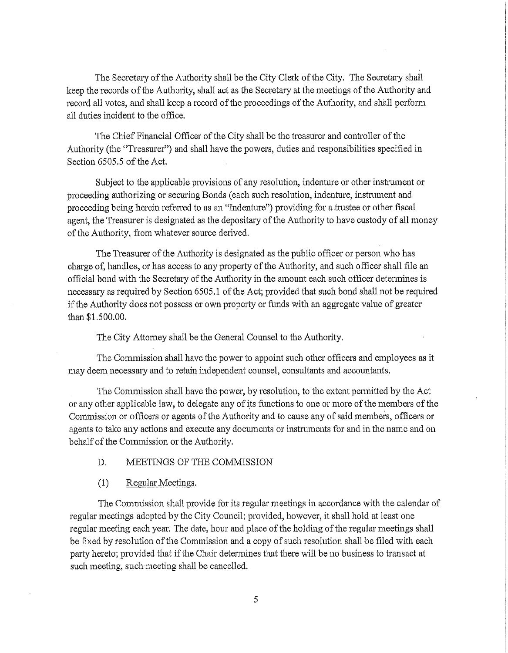The Secretary of the Authority shall be the City Clerk of the City. The Secretary shall keep the records of the Authority, shall act as the Secretary at the meetings of the Authority and record all votes, and shall keep a record of the proceedings of the Authority, and shall perform all duties incident to the office.

The Chief Financial Officer of the City shall be the treasurer and controller of the Authority (the "Treasurer") and shall have the powers, duties and responsibilities specified in Section 6505.5 of the Act.

Subject to the applicable provisions of any resolution, indenture or other instrument or proceeding authorizing or securing Bonds (each such resolution, indenture, instrument and proceeding being herein referred to as an "Indenture") providing for a trustee or other fiscal agent, the Treasurer is designated as the depositary of the Authority to have custody of all money of the Authority, from whatever source derived.

The Treasurer of the Authority is designated as the public officer or person who has charge of, handles, or has access to any property of the Authority, and such officer shall file an official bond with the Secretary of the Authority in the amount each such officer determines is necessary as required by Section 6505.1 of the Act; provided that such bond shall not be required if the Authority does not possess or own property or funds with an aggregate value of greater than \$1.500.00.

The City Attorney shall be the General Counsel to the Authority.

The Commission shall have the power to appoint such other officers and employees as it may deem necessary and to retain independent counsel, consultants and accountants.

The Commission shall have the power, by resolution, to the extent permitted by the Act or any other applicable law, to delegate any of its functions to one or more of the members of the Commission or officers or agents of the Authority and to cause any of said members, officers or agents to take any actions and execute any documents or instruments for and in the name and on behalf of the Commission or the Authority.

## D. MEETINGS OF THE COMMISSION

## (1) Regular Meetings.

The Commission shall provide for its regular meetings in accordance with the calendar of regular meetings adopted by the City Council; provided, however, it shall hold at least one regular meeting each year. The date, hour and place of the holding of the regular meetings shall be fixed by resolution of the Commission and a copy of such resolution shall be filed with each party hereto; provided that if the Chair detennines that there will be no business to transact at such meeting, such meeting shall be cancelled.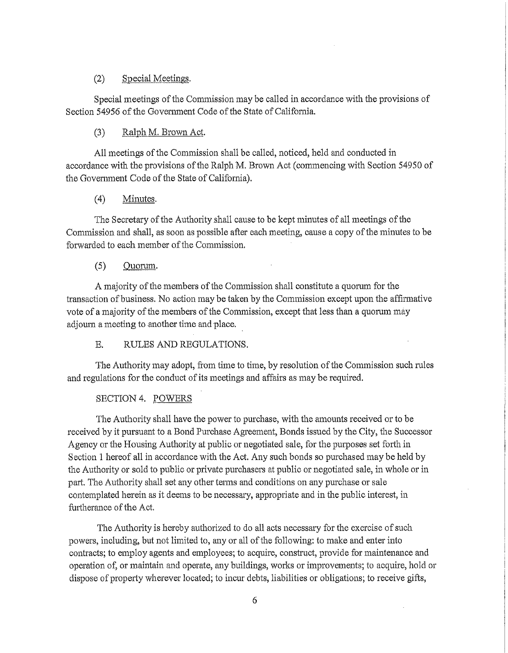# (2) Special Meetings.

Special meetings of the Commission may be called in accordance with the provisions of Section 54956 of the Govermnent Code of the State of California.

## (3) Ralph M. Brown Act.

All meetings of the Commission shall be called, noticed, held and conducted in accordance with the provisions of the Ralph M. Brown Act (commencing with Section 54950 of the Government Code of the State of California).

## (4) Minutes.

The Secretary of the Authority shall cause to be kept minutes of all meetings of the Conunission and shall, as soon as possible after each meeting, cause a copy of the minutes to be forwarded to each member of the Commission.

# (5) Quorum.

A majority of the members of the Conunission shall constitute a quorum for the transaction of business. No action may be taken by the Cmmnission except upon the affinnative vote of a majority of the members of the Commission, except that less than a quorum may adjourn a meeting to another time and place.

E. RULES AND REGULATIONS.

The Authority may adopt, from time to time, by resolution of the Commission such rules and regulations for the conduct of its meetings and affairs as may be required.

## SECTION 4. POWERS

The Authority shall have the power to purchase, with the amounts received or to be received by it pursuant to a Bond Purchase Agreement, Bonds issued by the City, the Successor Agency or the Housing Authority at public or negotiated sale, for the purposes set forth in Section 1 hereof all in accordance with the Act. Any such bonds so purchased may be held by the Authority or sold to public or private purchasers at public or negotiated sale, in whole or in part. The Authority shall set any other terms and conditions on any purchase or sale contemplated herein as it deems to be necessary, appropriate and in the public interest, in furtherance of the Act.

The Authority is hereby authorized to do all acts necessary for the exercise of such powers, including, but not limited to, any or all of the following: to make and enter into contracts; to employ agents and employees; to acquire, construct, provide for maintenance and operation of, or maintain and operate, any buildings, works or improvements; to acquire, hold or dispose of property wherever located; to incur debts, liabilities or obligations; to receive gifts,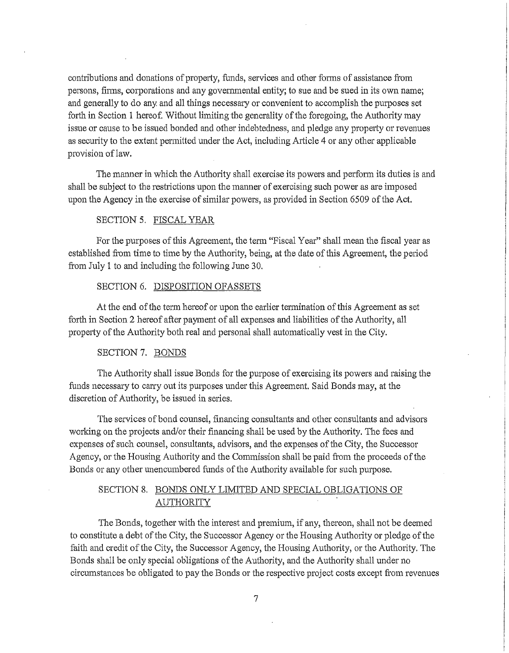contributions and donations of property, funds, services and other fonns of assistance from persons, finns, corporations and any governmental entity; to sue and be sued in its own name; and generally to do any and all things necessary or convenient to accomplish the purposes set forth in Section 1 hereof. Without limiting the generality of the foregoing, the Authority may issue or cause to be issued bonded and other indebtedness, and pledge any property or revenues as security to the extent permitted under the Act, including Article 4 or any other applicable provision of law.

The manner in which the Authority shall exercise its powers and perform its duties is and shall be subject to the restrictions upon the manner of exercising such power as are imposed upon the Agency in the exercise of similar powers, as provided in Section 6509 of the Act.

## SECTION 5. FISCAL YEAR

For the purposes of this Agreement, the term "Fiscal Year" shall mean the fiscal year as established from time to time by the Authority, being, at the date of this Agreement, the period from July 1 to and including the following June 30.

### SECTION 6. DISPOSITION OF ASSETS

At the end of the term hereof or upon the earlier tennination of this Agreement as set forth in Section 2 hereof after payment of all expenses and liabilities of the Authority, all property of the Authority both real and personal shall automatically vest in the City.

#### SECTION 7. BONDS

The Authority shall issue Bonds for the purpose of exercising its powers and raising the funds necessary to carry out its purposes under this Agreement. Said Bonds may, at the discretion of Authority, be issued in series.

The services of bond counsel, financing consultants and other consultants and advisors working on the projects and/or their financing shall be used by the Authority. The fees and expenses of such counsel, consultants, advisors, and the expenses of the City, the Successor Agency, or the Housing Authority and the Conunission shall be paid from the proceeds of the Bonds or any other unencumbered funds of the Authority available for such purpose.

# SECTION 8. BONDS ONLY LIMITED AND SPECIAL OBLIGATIONS OF AUTHORITY

The Bonds, together with the interest and premium, if any, thereon, shall not be deemed to constitute a debt of the City, the Successor Agency or the Housing Authority or pledge of the faith and credit of the City, the Successor Agency, the Housing Authority, or the Authority. The Bonds shall be only special obligations of the Authority, and the Authority shall under no circumstances be obligated to pay the Bonds or the respective project costs except from revenues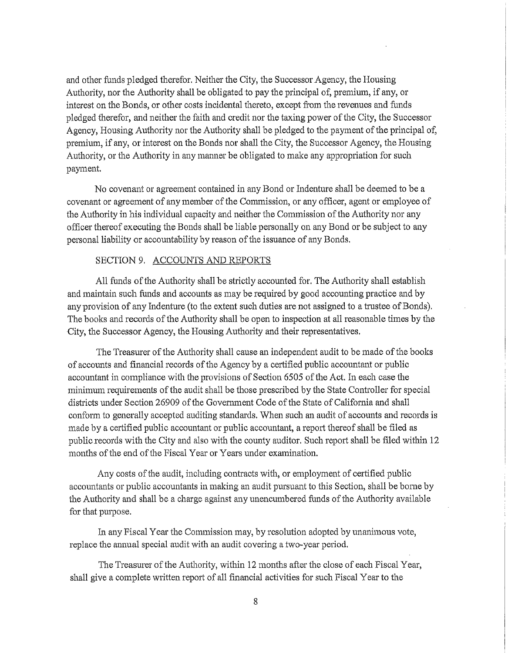and other funds pledged therefor. Neither the City, the Successor Agency, the Housing Authority, nor the Authority shall be obligated to pay the principal of, premium, if any, or interest on the Bonds, or other costs incidental thereto, except from the revenues and funds pledged therefor, and neither the faith and credit nor the taxing power of the City, the Successor Agency, Housing Authority nor the Authority shall be pledged to the payment of the principal of, premium, if any, or interest on the Bonds nor shall the City, the Successor Agency, the Housing Authority, or the Authority in any manner be obligated to make any appropriation for such payment.

No covenant or agreement contained in any Bond or Indenture shall be deemed to be a covenant or agreement of any member of the Commission, or any officer, agent or employee of the Authority in his individual capacity and neither the Commission of the Authority nor any officer thereof executing the Bonds shall be liable personally on any Bond or be subject to any personal liability or accountability by reason of the issuance of any Bonds.

## SECTION 9. ACCOUNTS AND REPORTS

All funds of the Authority shall be strictly accounted for. The Authority shall establish and maintain such funds and accounts as may be required by good accounting practice and by any provision of any Indenture (to the extent such duties are not assigned to a trustee of Bonds). The books and records of the Authority shall be open to inspection at all reasonable times by the City, the Successor Agency, the Housing Authority and their representatives.

The Treasurer of the Authority shall cause an independent audit to be made of the books of accounts and financial records of the Agency by a certified public accountant or public accountant in compliance with the provisions of Section 6505 of the Act. In each case the minimum requirements of the audit shall be those prescribed by the State Controller for special districts under Section 26909 of the Government Code of the State of Califomia and shall conform to generally accepted auditing standards. When such an audit of accounts and records is made by a certified public accountant or public accountant, a report thereof shall be filed as public records with the City and also with the county auditor. Such report shall be filed within 12 months of the end of the Fiscal Year or Years under examination.

Any costs of the audit, including contracts with, or employment of certified public accountants or public accountants in making an audit pursuant to this Section, shall be borne by the Authority and shall be a charge against any unencumbered funds of the Authority available for that purpose.

In any Fiscal Year the Commission may, by resolution adopted by unanimous vote, replace the annual special audit with an audit covering a two-year period.

The Treasurer of the Authority, within12months after the close of each Fiscal Year, shall give a complete written report of all financial activities for such Fiscal Year to the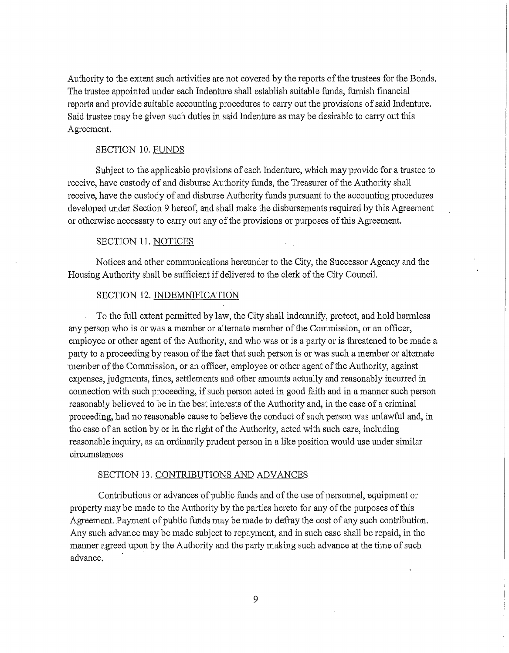Authority to the extent such activities are not covered by the reports of the trustees for the Bonds. The trustee appointed under each Indenture shall establish suitable funds, furnish financial reports and provide suitable accounting procedures to cany out the provisions of said Indenture. Said trustee may be given such duties in said Indenture as may be desirable to carry out this Agreement.

## SECTION 10. FUNDS

Subject to the applicable provisions of each Indenture, which may provide for a trustee to receive, have custody of and disburse Authority funds, the Treasurer of the Authority shall receive, have the custody of and disburse Authority funds pursuant to the accounting procedures developed under Section 9 hereof, and shall make the disbursements required by this Agreement or otherwise necessary to carry out any of the provisions or purposes of this Agreement.

#### SECTION 11. NOTICES

Notices and other communications hereunder to the City, the Successor Agency and the Housing Authority shall be sufficient if delivered to the clerk of the City Council.

#### SECTION 12. INDEMNIFICATION

To the full extent permitted by law, the City shall indemnify, protect, and hold harmless any person who is or was a member or altemate member of the Commission, or an officer, employee or other agent of the Authority, and who was or is a party or is threatened to be made a party to a proceeding by reason of the fact that such person is or was such a member or alternate member of the Commission, or an officer, employee or other agent of the Authority, against expenses, judgments, fines, settlements and other amounts actually and reasonably incurred in connection with such proceeding, if such person acted in good faith and in a manner such person reasonably believed to be in the best interests of the Authority and, in the case of a criminal proceeding, had no reasonable cause to believe the conduct of such person was unlawful and, in the case of an action by or in the right of the Authority, acted with such care, including reasonable inquiry, as an ordinarily prudent person in a like position would use under similar circumstances

#### SECTION 13. CONTRIBUTIONS AND ADVANCES

Contributions or advances of public funds and of the use of personnel, equipment or property may be made to the Authority by the parties hereto for any of the purposes of this Agreement. Payment of public funds may be made to defray the cost of any such contribution. Any such advance may be made subject to repayment, and in such case shall be repaid, in the manner agreed upon by the Authority and the party making such advance at the time of such advance.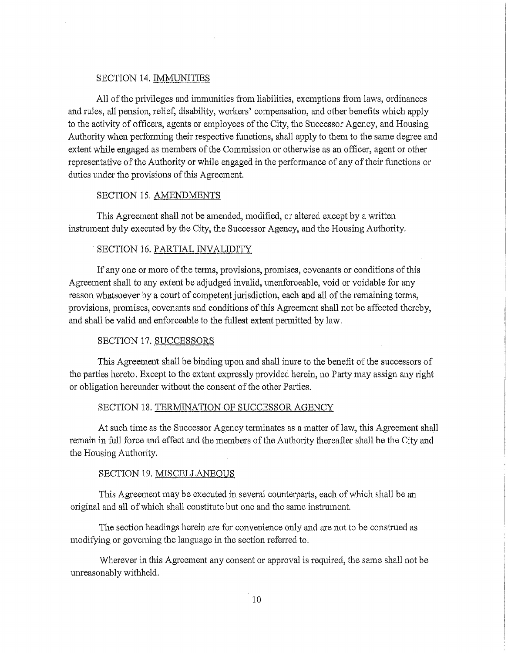#### SECTION 14. IMMUNITIES

All of the privileges and immunities from liabilities, exemptions from laws, ordinances and rules, all pension, relief, disability, workers' compensation, and other benefits which apply to the activity of officers, agents or employees of the City, the Successor Agency, and Housing Authority when performing their respective functions, shall apply to them to the same degree and extent while engaged as members of the Commission or otherwise as an officer, agent or other representative of the Authority or while engaged in the performance of any of their functions or duties under the provisions of this Agreement.

#### SECTION 15. AMENDMENTS

This Agreement shall not be amended, modified, or altered except by a written instrument duly executed by the City, the Successor Agency, and the Housing Authority.

#### . SECTION 16. PARTIAL INVALIDITY

If any one or more of the tenns, provisions, promises, covenants or conditions of this Agreement shall to any extent be adjudged invalid, unenforceable, void or voidable for any reason whatsoever by a court of competent jurisdiction, each and all of the remaining terms, provisions, promises, covenants and conditions ofthis Agreement shall not be affected thereby, and shall be valid and enforceable to the fullest extent permitted by law.

# SECTION 17. SUCCESSORS

This Agreement shall be binding upon and shall inure to the benefit of the successors of the parties hereto. Except to the extent expressly provided herein, no Party may assign any right or obligation hereunder without the consent of the other Parties.

#### SECTION 18. TERMINATION OF SUCCESSOR AGENCY

At such time as the Successor Agency terminates as a matter of law, this Agreement shall remain in full force and effect and the members of the Authority thereafter shall be the City and the Housing Authority.

#### SECTION 19. MISCELLANEOUS

This Agreement may be executed in several counterpatis, each of which shall be an original and all of which shall constitute but one and the same instrument.

The section headings herein are for convenience only and are not to be construed as modifying or goveming the language in the section referred to.

Wherever in this Agreement any consent or approval is required, the same shall not be umeasonably withheld.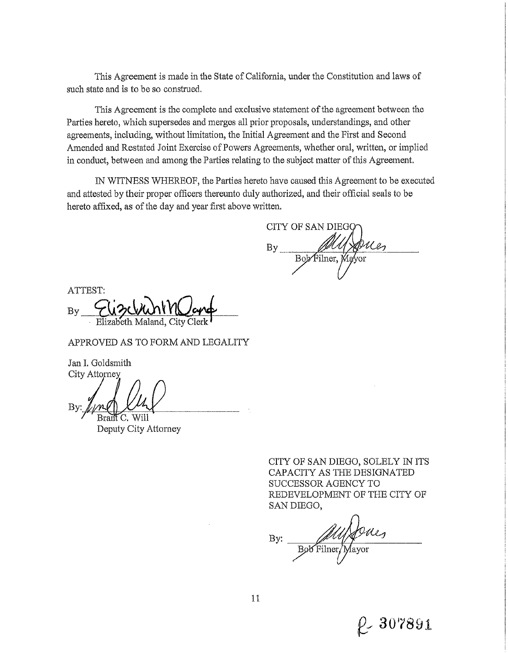This Agreement is made in the State of California, under the Constitution and laws of such state and is to be so construed.

This Agreement is the complete and exclusive statement of the agreement between the Parties hereto, which supersedes and merges all prior proposals, understandings, and other agreements, including, without limitation, the Initial Agreement and the First and Second Amended and Restated Joint Exercise of Powers Agreements, whether oral, written, or implied in conduct, between and among the Parties relating to the subject matter of this Agreement.

IN WITNESS WHEREOF, the Parties hereto have caused this Agreement to be executed and attested by their proper officers thereunto duly authorized, and their official seals to be hereto affixed, as of the day and year first above written.

CITY OF SAN DIEG Bob Filner, Mayor

ATTEST:  $By_$ <u>EUZCVUNYVICond</u>

## APPROVED AS TO FORM AND LEGALITY

Jan I. Goldsmith City Attorney

::~ <sup>I</sup>Bran C. Will

Deputy City Attorney

CITY OF SAN DIEGO, SOLELY IN ITS CAPACITY AS THE DESIGNATED SUCCESSOR AGENCY TO REDEVELOPMENT OF THE CITY OF SAN DIEGO,

Bob Filmer Mayor By:

& **30'7891.**